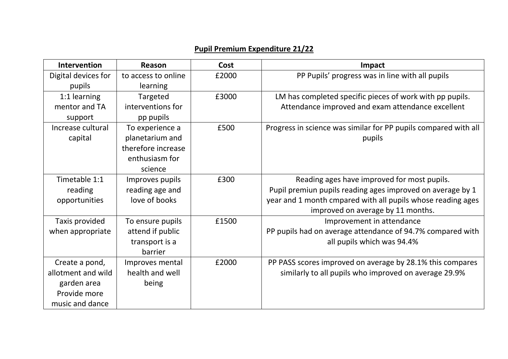## **Pupil Premium Expenditure 21/22**

| Intervention        | Reason              | Cost  | Impact                                                          |
|---------------------|---------------------|-------|-----------------------------------------------------------------|
| Digital devices for | to access to online | £2000 | PP Pupils' progress was in line with all pupils                 |
| pupils              | <b>learning</b>     |       |                                                                 |
| 1:1 learning        | Targeted            | £3000 | LM has completed specific pieces of work with pp pupils.        |
| mentor and TA       | interventions for   |       | Attendance improved and exam attendance excellent               |
| support             | pp pupils           |       |                                                                 |
| Increase cultural   | To experience a     | £500  | Progress in science was similar for PP pupils compared with all |
| capital             | planetarium and     |       | pupils                                                          |
|                     | therefore increase  |       |                                                                 |
|                     | enthusiasm for      |       |                                                                 |
|                     | science             |       |                                                                 |
| Timetable 1:1       | Improves pupils     | £300  | Reading ages have improved for most pupils.                     |
| reading             | reading age and     |       | Pupil premiun pupils reading ages improved on average by 1      |
| opportunities       | love of books       |       | year and 1 month cmpared with all pupils whose reading ages     |
|                     |                     |       | improved on average by 11 months.                               |
| Taxis provided      | To ensure pupils    | £1500 | Improvement in attendance                                       |
| when appropriate    | attend if public    |       | PP pupils had on average attendance of 94.7% compared with      |
|                     | transport is a      |       | all pupils which was 94.4%                                      |
|                     | barrier             |       |                                                                 |
| Create a pond,      | Improves mental     | £2000 | PP PASS scores improved on average by 28.1% this compares       |
| allotment and wild  | health and well     |       | similarly to all pupils who improved on average 29.9%           |
| garden area         | being               |       |                                                                 |
| Provide more        |                     |       |                                                                 |
| music and dance     |                     |       |                                                                 |